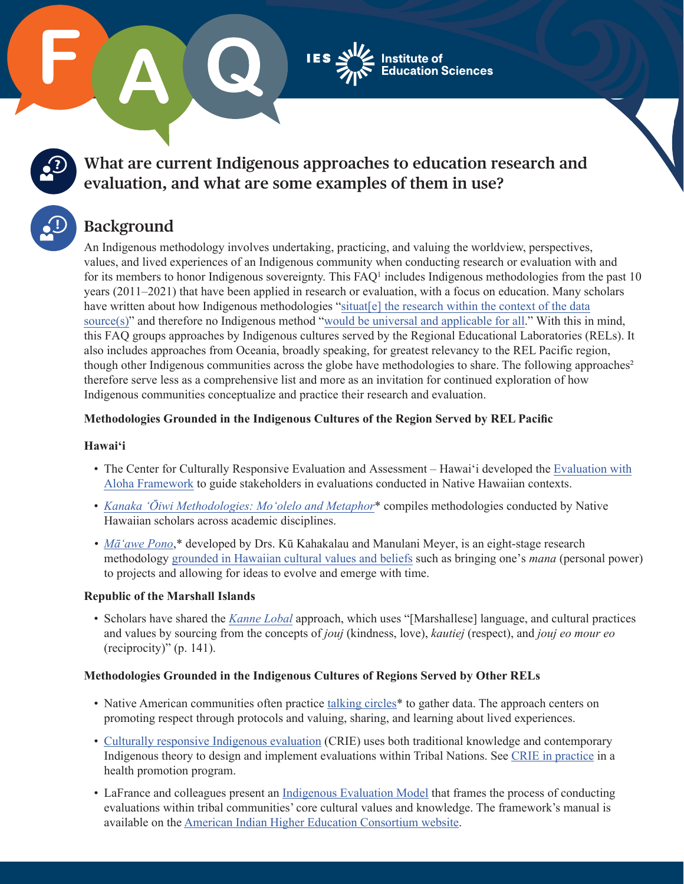

## **What are current Indigenous approaches to education research and evaluation, and what are some examples of them in use?**

# **Background**

An Indigenous methodology involves undertaking, practicing, and valuing the worldview, perspectives, values, and lived experiences of an Indigenous community when conducting research or evaluation with and for its members to honor Indigenous sovereignty. This  $FAQ<sup>1</sup>$  includes Indigenous methodologies from the past 10 years (2011–2021) that have been applied in research or evaluation, with a focus on education. Many scholars have written about how Indigenous methodologies "situat[e] the research within the context of the data [source\(s\)](https://ojs.lib.uwo.ca/index.php/iipj/article/view/7515)" and therefore no Indigenous method ["would be universal and applicable for all.](https://brill.com/view/book/9789004463097/BP000002.xml)" With this in mind, this FAQ groups approaches by Indigenous cultures served by the Regional Educational Laboratories (RELs). It also includes approaches from Oceania, broadly speaking, for greatest relevancy to the REL Pacific region, though other Indigenous communities across the globe have methodologies to share. The following approaches<sup>2</sup> therefore serve less as a comprehensive list and more as an invitation for continued exploration of how Indigenous communities conceptualize and practice their research and evaluation.

## **Methodologies Grounded in the Indigenous Cultures of the Region Served by REL Pacific**

## **Hawai'i**

- The Center for Culturally Responsive Evaluation and Assessment Hawaiʻi developed the [Evaluation with](https://www.creahawaii.com/aloha) [Aloha Framework](https://www.creahawaii.com/aloha) to guide stakeholders in evaluations conducted in Native Hawaiian contexts.
- *[Kanaka 'Ōiwi Methodologies: Mo](https://www.degruyter.com/document/doi/10.1515/9780824857516/html)ʻolelo and Metaphor*\* compiles methodologies conducted by Native Hawaiian scholars across academic disciplines.
- *• [Māʻawe Pono](https://www.degruyter.com/document/doi/10.1515/9780824878177-005/html)*,\* developed by Drs. Kū Kahakalau and Manulani Meyer, is an eight-stage research methodology [grounded in Hawaiian cultural values and beliefs](https://drive.google.com/file/d/1rgV64DQ565XpVVrDAP2Rll1e3ZzYJm5b/view) such as bringing one's *mana* (personal power) to projects and allowing for ideas to evolve and emerge with time.

## **Republic of the Marshall Islands**

• Scholars have shared the *[Kanne Lobal](https://wje.org.nz/index.php/WJE/article/view/785)* approach, which uses "[Marshallese] language, and cultural practices and values by sourcing from the concepts of *jouj* (kindness, love), *kautiej* (respect), and *jouj eo mour eo* (reciprocity)" (p. 141).

## **Methodologies Grounded in the Indigenous Cultures of Regions Served by Other RELs**

- Native American communities often practice [talking circles](https://eric.ed.gov/?id=EJ1261953)<sup>\*</sup> to gather data. The approach centers on promoting respect through protocols and valuing, sharing, and learning about lived experiences.
- [Culturally responsive Indigenous evaluation](https://cncfr.jbsinternational.com/sites/default/files/downloads/Culturally Responsive Indigenous Evaluation and Tribal Governments Understanding the Relationship BowmanDodge-Francis-2018.pdf) (CRIE) uses both traditional knowledge and contemporary Indigenous theory to design and implement evaluations within Tribal Nations. See [CRIE in practice](http://lead.wceruw.org/Bowman-bookChapter.pdf) in a health promotion program.
- LaFrance and colleagues present an [Indigenous Evaluation Model](http://www.nwtontheland.ca/uploads/8/6/5/1/86514372/2012_-_joan_lafrance_-_culturewritesthescriptonthecentralityofcontextinin%5Bretrieved_2018-03-19%5D.pdf) that frames the process of conducting evaluations within tribal communities' core cultural values and knowledge. The framework's manual is available on the [American Indian Higher Education Consortium website.](https://portalcentral.aihec.org/Indigeval/Lists/IndigenousEvaluationFrmWork/AllItems.aspx)